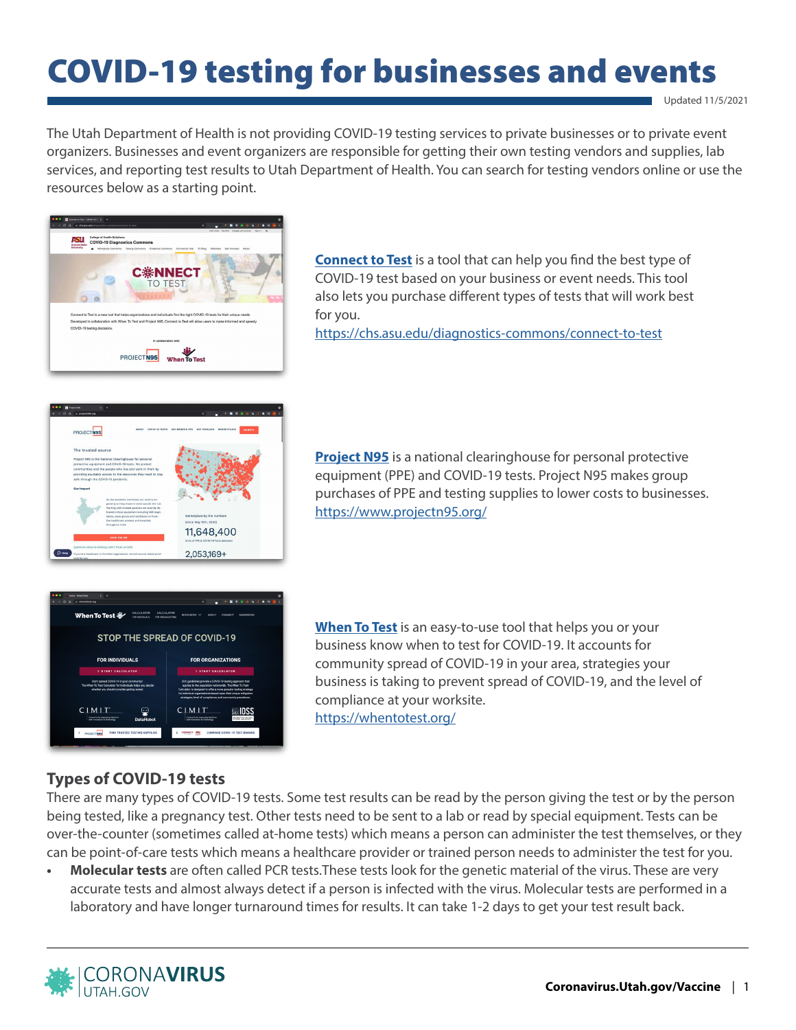# COVID-19 testing for businesses and events

Updated 11/5/2021

The Utah Department of Health is not providing COVID-19 testing services to private businesses or to private event organizers. Businesses and event organizers are responsible for getting their own testing vendors and supplies, lab services, and reporting test results to Utah Department of Health. You can search for testing vendors online or use the resources below as a starting point.



**[Connect to Test](https://chs.asu.edu/diagnostics-commons/connect-to-test)** is a tool that can help you find the best type of COVID-19 test based on your business or event needs. This tool also lets you purchase different types of tests that will work best for you.

<https://chs.asu.edu/diagnostics-commons/connect-to-test>



**[Project N95](https://www.projectn95.org/)** is a national clearinghouse for personal protective equipment (PPE) and COVID-19 tests. Project N95 makes group purchases of PPE and testing supplies to lower costs to businesses. <https://www.projectn95.org/>



**[When To Test](https://whentotest.org/)** is an easy-to-use tool that helps you or your business know when to test for COVID-19. It accounts for community spread of COVID-19 in your area, strategies your business is taking to prevent spread of COVID-19, and the level of compliance at your worksite. <https://whentotest.org/>

## **Types of COVID-19 tests**

There are many types of COVID-19 tests. Some test results can be read by the person giving the test or by the person being tested, like a pregnancy test. Other tests need to be sent to a lab or read by special equipment. Tests can be over-the-counter (sometimes called at-home tests) which means a person can administer the test themselves, or they can be point-of-care tests which means a healthcare provider or trained person needs to administer the test for you.

**• Molecular tests** are often called PCR tests.These tests look for the genetic material of the virus. These are very accurate tests and almost always detect if a person is infected with the virus. Molecular tests are performed in a laboratory and have longer turnaround times for results. It can take 1-2 days to get your test result back.

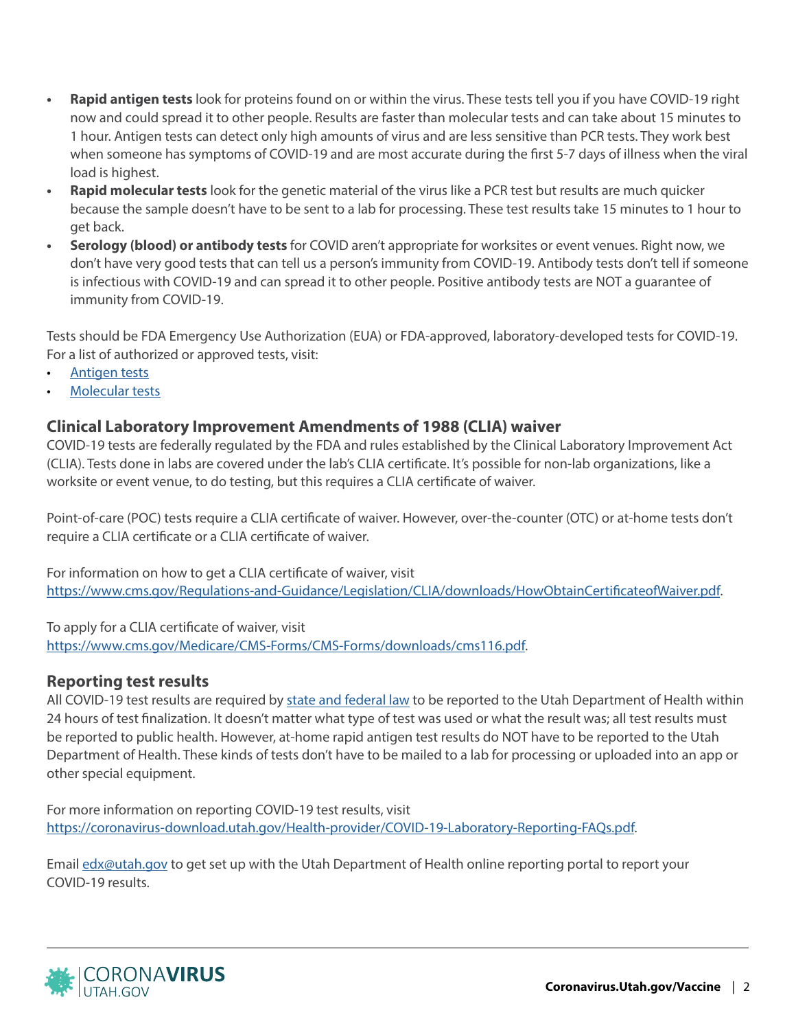- **• Rapid antigen tests** look for proteins found on or within the virus. These tests tell you if you have COVID-19 right now and could spread it to other people. Results are faster than molecular tests and can take about 15 minutes to 1 hour. Antigen tests can detect only high amounts of virus and are less sensitive than PCR tests. They work best when someone has symptoms of COVID-19 and are most accurate during the first 5-7 days of illness when the viral load is highest.
- **• Rapid molecular tests** look for the genetic material of the virus like a PCR test but results are much quicker because the sample doesn't have to be sent to a lab for processing. These test results take 15 minutes to 1 hour to get back.
- **• Serology (blood) or antibody tests** for COVID aren't appropriate for worksites or event venues. Right now, we don't have very good tests that can tell us a person's immunity from COVID-19. Antibody tests don't tell if someone is infectious with COVID-19 and can spread it to other people. Positive antibody tests are NOT a guarantee of immunity from COVID-19.

Tests should be FDA Emergency Use Authorization (EUA) or FDA-approved, laboratory-developed tests for COVID-19. For a list of authorized or approved tests, visit:

- [Antigen tests](https://www.fda.gov/medical-devices/coronavirus-disease-2019-covid-19-emergency-use-authorizations-medical-devices/in-vitro-diagnostics-euas-antigen-diagnostic-tests-sars-cov-2)
- [Molecular tests](https://www.fda.gov/medical-devices/coronavirus-disease-2019-covid-19-emergency-use-authorizations-medical-devices/in-vitro-diagnostics-euas-molecular-diagnostic-tests-sars-cov-2#individual-molecular)

## **Clinical Laboratory Improvement Amendments of 1988 (CLIA) waiver**

COVID-19 tests are federally regulated by the FDA and rules established by the Clinical Laboratory Improvement Act (CLIA). Tests done in labs are covered under the lab's CLIA certificate. It's possible for non-lab organizations, like a worksite or event venue, to do testing, but this requires a CLIA certificate of waiver.

Point-of-care (POC) tests require a CLIA certificate of waiver. However, over-the-counter (OTC) or at-home tests don't require a CLIA certificate or a CLIA certificate of waiver.

For information on how to get a CLIA certificate of waiver, visit <https://www.cms.gov/Regulations-and-Guidance/Legislation/CLIA/downloads/HowObtainCertificateofWaiver.pdf>.

To apply for a CLIA certificate of waiver, visit [https://www.cms.gov/Medicare/CMS-Forms/CMS-Forms/downloads/cms116.pdf.](https://www.cms.gov/Medicare/CMS-Forms/CMS-Forms/downloads/cms116.pdf)

## **Reporting test results**

All COVID-19 test results are required by [state and federal law](https://coronavirus-download.utah.gov/Health-provider/COVID-19-Laboratory-Reporting-Regulations.pdf) to be reported to the Utah Department of Health within 24 hours of test finalization. It doesn't matter what type of test was used or what the result was; all test results must be reported to public health. However, at-home rapid antigen test results do NOT have to be reported to the Utah Department of Health. These kinds of tests don't have to be mailed to a lab for processing or uploaded into an app or other special equipment.

For more information on reporting COVID-19 test results, visit <https://coronavirus-download.utah.gov/Health-provider/COVID-19-Laboratory-Reporting-FAQs.pdf>.

Email [edx@utah.gov](mailto:?subject=) to get set up with the Utah Department of Health online reporting portal to report your COVID-19 results.